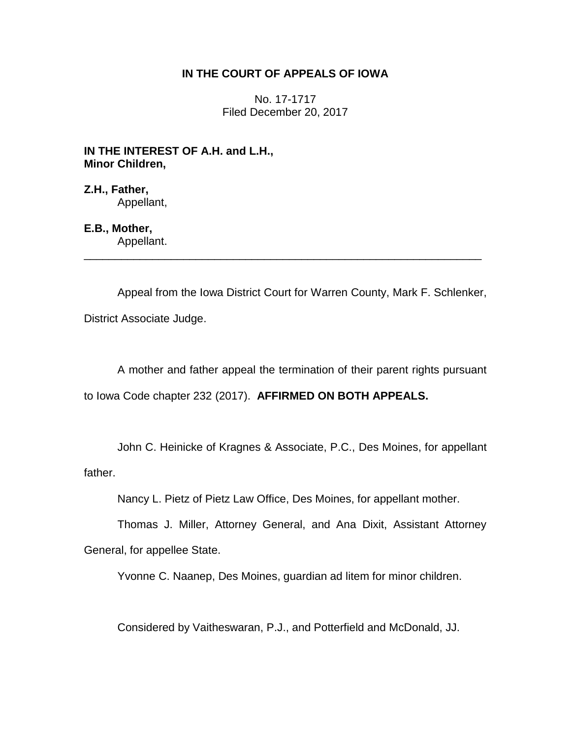## **IN THE COURT OF APPEALS OF IOWA**

No. 17-1717 Filed December 20, 2017

**IN THE INTEREST OF A.H. and L.H., Minor Children,**

**Z.H., Father,** Appellant,

## **E.B., Mother,**

Appellant. \_\_\_\_\_\_\_\_\_\_\_\_\_\_\_\_\_\_\_\_\_\_\_\_\_\_\_\_\_\_\_\_\_\_\_\_\_\_\_\_\_\_\_\_\_\_\_\_\_\_\_\_\_\_\_\_\_\_\_\_\_\_\_\_

Appeal from the Iowa District Court for Warren County, Mark F. Schlenker, District Associate Judge.

A mother and father appeal the termination of their parent rights pursuant to Iowa Code chapter 232 (2017). **AFFIRMED ON BOTH APPEALS.**

John C. Heinicke of Kragnes & Associate, P.C., Des Moines, for appellant father.

Nancy L. Pietz of Pietz Law Office, Des Moines, for appellant mother.

Thomas J. Miller, Attorney General, and Ana Dixit, Assistant Attorney General, for appellee State.

Yvonne C. Naanep, Des Moines, guardian ad litem for minor children.

Considered by Vaitheswaran, P.J., and Potterfield and McDonald, JJ.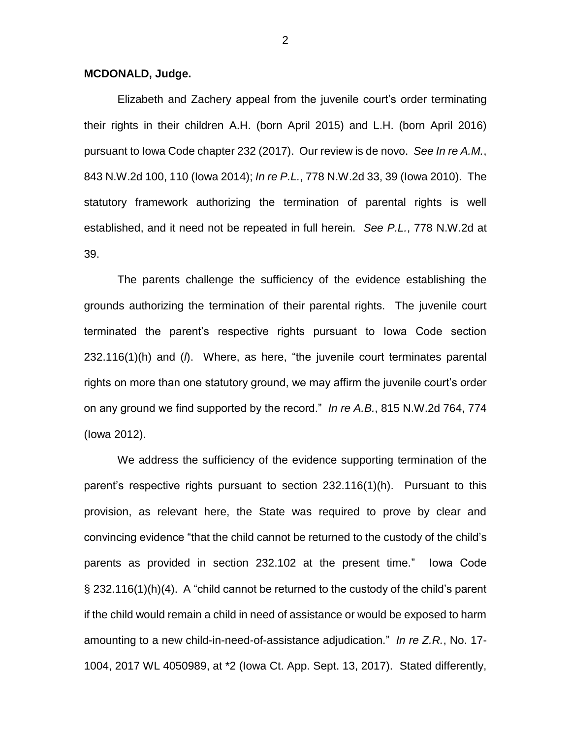## **MCDONALD, Judge.**

Elizabeth and Zachery appeal from the juvenile court's order terminating their rights in their children A.H. (born April 2015) and L.H. (born April 2016) pursuant to Iowa Code chapter 232 (2017). Our review is de novo. *See In re A.M.*, 843 N.W.2d 100, 110 (Iowa 2014); *In re P.L.*, 778 N.W.2d 33, 39 (Iowa 2010). The statutory framework authorizing the termination of parental rights is well established, and it need not be repeated in full herein. *See P.L.*, 778 N.W.2d at 39.

The parents challenge the sufficiency of the evidence establishing the grounds authorizing the termination of their parental rights. The juvenile court terminated the parent's respective rights pursuant to Iowa Code section 232.116(1)(h) and (*l*). Where, as here, "the juvenile court terminates parental rights on more than one statutory ground, we may affirm the juvenile court's order on any ground we find supported by the record." *In re A.B.*, 815 N.W.2d 764, 774 (Iowa 2012).

We address the sufficiency of the evidence supporting termination of the parent's respective rights pursuant to section 232.116(1)(h). Pursuant to this provision, as relevant here, the State was required to prove by clear and convincing evidence "that the child cannot be returned to the custody of the child's parents as provided in section 232.102 at the present time." Iowa Code § 232.116(1)(h)(4). A "child cannot be returned to the custody of the child's parent if the child would remain a child in need of assistance or would be exposed to harm amounting to a new child-in-need-of-assistance adjudication." *In re Z.R.*, No. 17- 1004, 2017 WL 4050989, at \*2 (Iowa Ct. App. Sept. 13, 2017). Stated differently,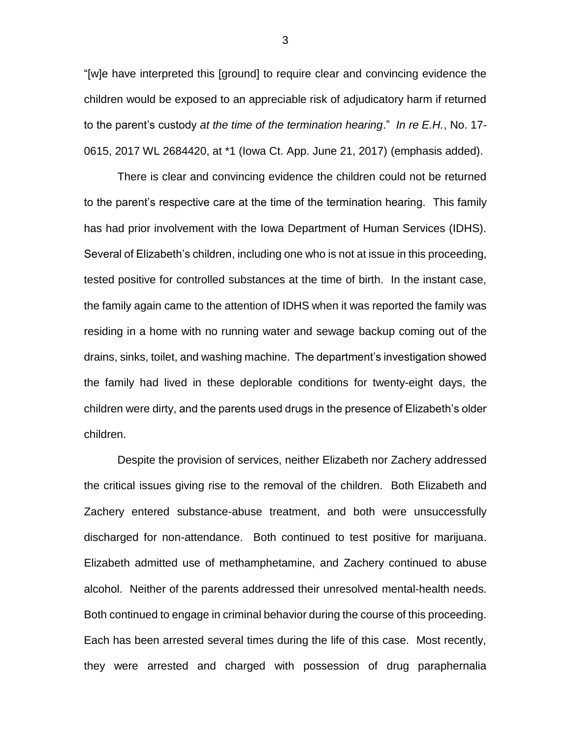"[w]e have interpreted this [ground] to require clear and convincing evidence the children would be exposed to an appreciable risk of adjudicatory harm if returned to the parent's custody *at the time of the termination hearing*." *In re E.H.*, No. 17- 0615, 2017 WL 2684420, at \*1 (Iowa Ct. App. June 21, 2017) (emphasis added).

There is clear and convincing evidence the children could not be returned to the parent's respective care at the time of the termination hearing. This family has had prior involvement with the Iowa Department of Human Services (IDHS). Several of Elizabeth's children, including one who is not at issue in this proceeding, tested positive for controlled substances at the time of birth. In the instant case, the family again came to the attention of IDHS when it was reported the family was residing in a home with no running water and sewage backup coming out of the drains, sinks, toilet, and washing machine. The department's investigation showed the family had lived in these deplorable conditions for twenty-eight days, the children were dirty, and the parents used drugs in the presence of Elizabeth's older children.

Despite the provision of services, neither Elizabeth nor Zachery addressed the critical issues giving rise to the removal of the children. Both Elizabeth and Zachery entered substance-abuse treatment, and both were unsuccessfully discharged for non-attendance. Both continued to test positive for marijuana. Elizabeth admitted use of methamphetamine, and Zachery continued to abuse alcohol. Neither of the parents addressed their unresolved mental-health needs. Both continued to engage in criminal behavior during the course of this proceeding. Each has been arrested several times during the life of this case. Most recently, they were arrested and charged with possession of drug paraphernalia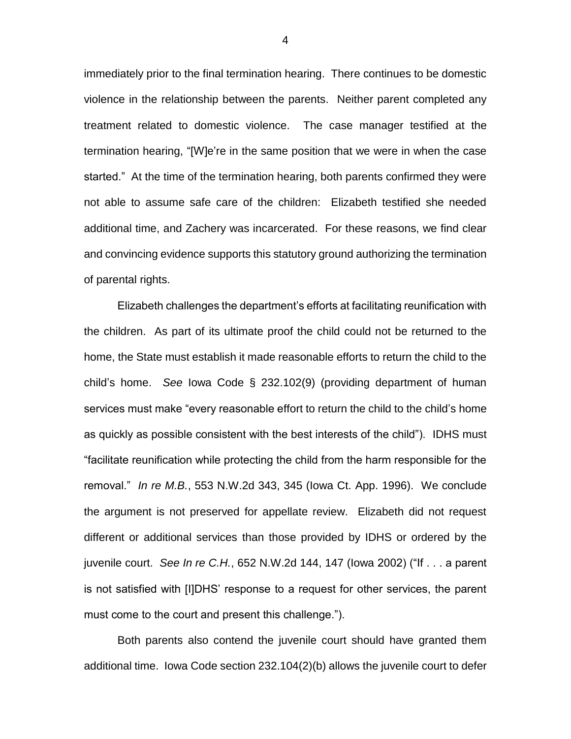immediately prior to the final termination hearing. There continues to be domestic violence in the relationship between the parents. Neither parent completed any treatment related to domestic violence. The case manager testified at the termination hearing, "[W]e're in the same position that we were in when the case started." At the time of the termination hearing, both parents confirmed they were not able to assume safe care of the children: Elizabeth testified she needed additional time, and Zachery was incarcerated. For these reasons, we find clear and convincing evidence supports this statutory ground authorizing the termination of parental rights.

Elizabeth challenges the department's efforts at facilitating reunification with the children. As part of its ultimate proof the child could not be returned to the home, the State must establish it made reasonable efforts to return the child to the child's home. *See* Iowa Code § 232.102(9) (providing department of human services must make "every reasonable effort to return the child to the child's home as quickly as possible consistent with the best interests of the child"). IDHS must "facilitate reunification while protecting the child from the harm responsible for the removal." *In re M.B.*, 553 N.W.2d 343, 345 (Iowa Ct. App. 1996). We conclude the argument is not preserved for appellate review. Elizabeth did not request different or additional services than those provided by IDHS or ordered by the juvenile court. *See In re C.H.*, 652 N.W.2d 144, 147 (Iowa 2002) ("If . . . a parent is not satisfied with [I]DHS' response to a request for other services, the parent must come to the court and present this challenge.").

Both parents also contend the juvenile court should have granted them additional time. Iowa Code section 232.104(2)(b) allows the juvenile court to defer

4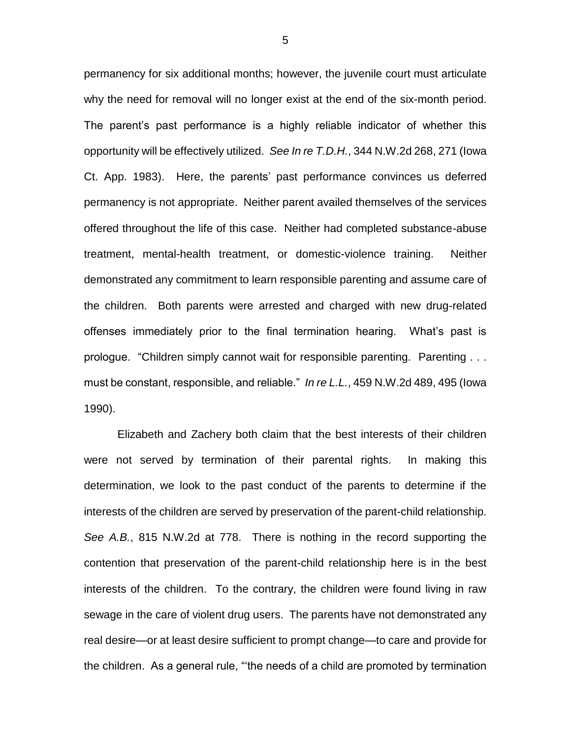permanency for six additional months; however, the juvenile court must articulate why the need for removal will no longer exist at the end of the six-month period. The parent's past performance is a highly reliable indicator of whether this opportunity will be effectively utilized. *See In re T.D.H.*, 344 N.W.2d 268, 271 (Iowa Ct. App. 1983). Here, the parents' past performance convinces us deferred permanency is not appropriate. Neither parent availed themselves of the services offered throughout the life of this case. Neither had completed substance-abuse treatment, mental-health treatment, or domestic-violence training. Neither demonstrated any commitment to learn responsible parenting and assume care of the children. Both parents were arrested and charged with new drug-related offenses immediately prior to the final termination hearing. What's past is prologue. "Children simply cannot wait for responsible parenting. Parenting . . . must be constant, responsible, and reliable." *In re L.L.*, 459 N.W.2d 489, 495 (Iowa 1990).

Elizabeth and Zachery both claim that the best interests of their children were not served by termination of their parental rights. In making this determination, we look to the past conduct of the parents to determine if the interests of the children are served by preservation of the parent-child relationship. *See A.B.*, 815 N.W.2d at 778. There is nothing in the record supporting the contention that preservation of the parent-child relationship here is in the best interests of the children. To the contrary, the children were found living in raw sewage in the care of violent drug users. The parents have not demonstrated any real desire—or at least desire sufficient to prompt change—to care and provide for the children. As a general rule, "'the needs of a child are promoted by termination

5